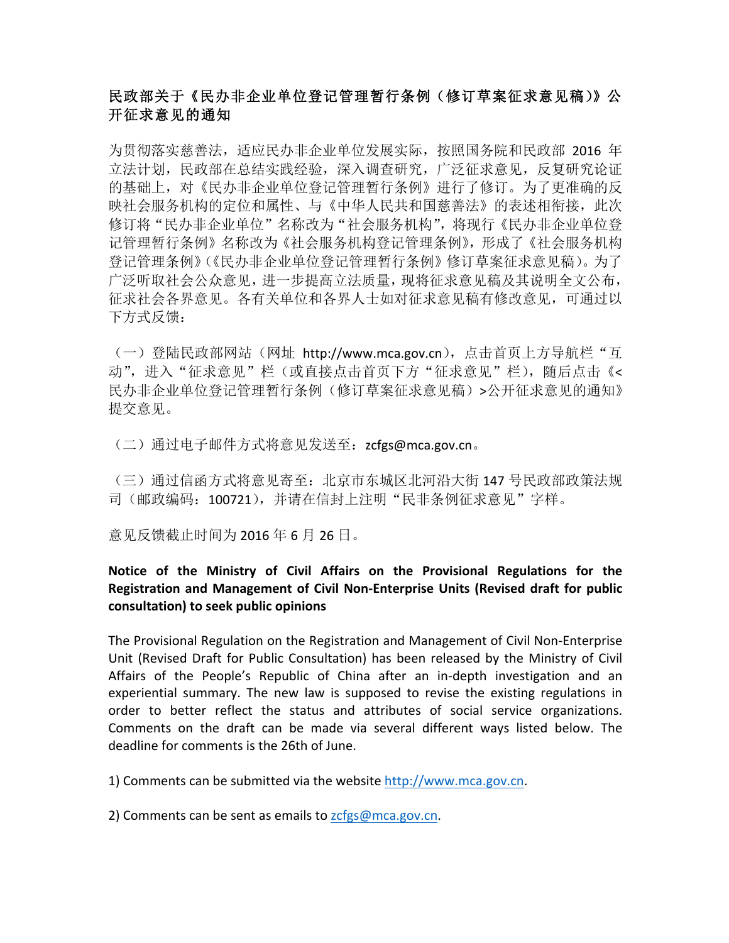# 民政部关于《民办非企业单位登记管理暂行条例(修订草案征求意见稿)》公 开征求意见的通知

为贯彻落实慈善法,适应民办非企业单位发展实际,按照国务院和民政部 2016 年 立法计划,民政部在总结实践经验,深入调查研究,广泛征求意见,反复研究论证 的基础上,对《民办非企业单位登记管理暂行条例》进行了修订。为了更准确的反 映社会服务机构的定位和属性、与《中华人民共和国慈善法》的表述相衔接,此次 修订将"民办非企业单位"名称改为"社会服务机构",将现行《民办非企业单位登 记管理暂行条例》名称改为《社会服务机构登记管理条例》,形成了《社会服务机构 登记管理条例》(《民办非企业单位登记管理暂行条例》修订草案征求意见稿)。为了 广泛听取社会公众意见,进一步提高立法质量,现将征求意见稿及其说明全文公布, 征求社会各界意见。各有关单位和各界人士如对征求意见稿有修改意见,可通过以 下方式反馈:

(一)登陆民政部网站(网址 http://www.mca.gov.cn), 点击首页上方导航栏"互 动",进入"征求意见"栏(或直接点击首页下方"征求意见"栏),随后点击《< 民办非企业单位登记管理暂行条例(修订草案征求意见稿)>公开征求意见的通知》 提交意见。

(二)通过电子邮件方式将意见发送至:zcfgs@mca.gov.cn。

(三)通过信函方式将意见寄至:北京市东城区北河沿大街 147 号民政部政策法规 司(邮政编码: 100721),并请在信封上注明"民非条例征求意见"字样。

意见反馈截止时间为 2016 年 6 月 26 日。

## **Notice of the Ministry of Civil Affairs on the Provisional Regulations for the Registration and Management of Civil Non-Enterprise Units (Revised draft for public consultation) to seek public opinions**

The Provisional Regulation on the Registration and Management of Civil Non-Enterprise Unit (Revised Draft for Public Consultation) has been released by the Ministry of Civil Affairs of the People's Republic of China after an in-depth investigation and an experiential summary. The new law is supposed to revise the existing regulations in order to better reflect the status and attributes of social service organizations. Comments on the draft can be made via several different ways listed below. The deadline for comments is the 26th of June.

1) Comments can be submitted via the website http://www.mca.gov.cn.

2) Comments can be sent as emails to  $zcfgs@mca.gov.cn$ .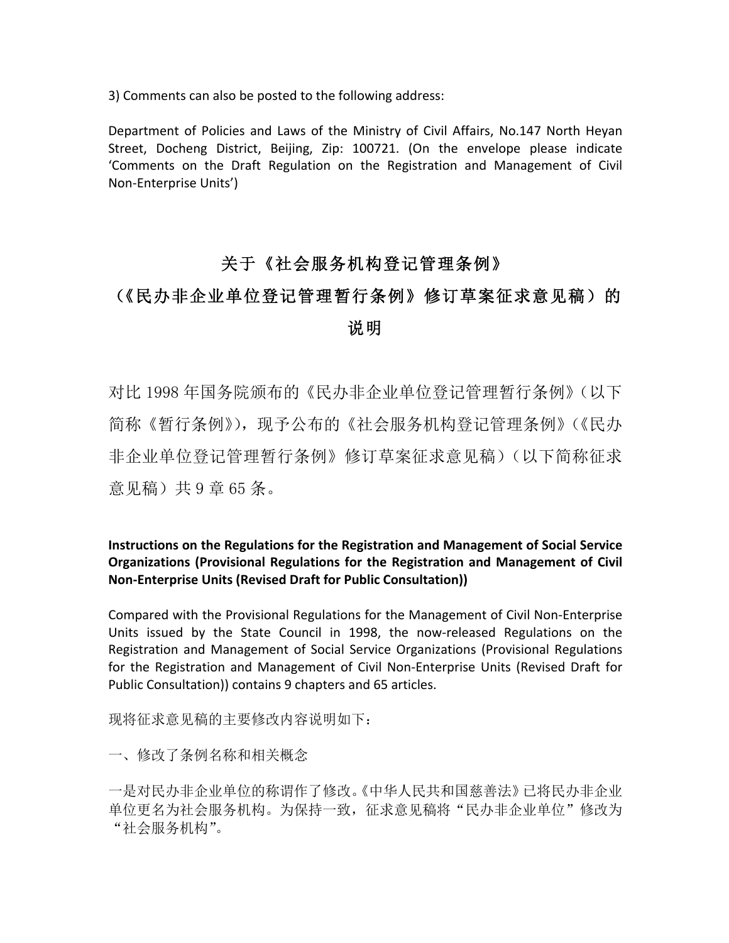3) Comments can also be posted to the following address:

Department of Policies and Laws of the Ministry of Civil Affairs, No.147 North Heyan Street, Docheng District, Beijing, Zip: 100721. (On the envelope please indicate 'Comments on the Draft Regulation on the Registration and Management of Civil Non-Enterprise Units')

# 关于《社会服务机构登记管理条例》

# (《民办非企业单位登记管理暂行条例》修订草案征求意见稿)的 说明

对比 1998 年国务院颁布的《民办非企业单位登记管理暂行条例》(以下 简称《暂行条例》),现予公布的《社会服务机构登记管理条例》(《民办 非企业单位登记管理暂行条例》修订草案征求意见稿)(以下简称征求 意见稿)共9章65条。

#### **Instructions on the Regulations for the Registration and Management of Social Service Organizations (Provisional Regulations for the Registration and Management of Civil Non-Enterprise Units (Revised Draft for Public Consultation))**

Compared with the Provisional Regulations for the Management of Civil Non-Enterprise Units issued by the State Council in 1998, the now-released Regulations on the Registration and Management of Social Service Organizations (Provisional Regulations for the Registration and Management of Civil Non-Enterprise Units (Revised Draft for Public Consultation)) contains 9 chapters and 65 articles.

现将征求意见稿的主要修改内容说明如下:

一、修改了条例名称和相关概念

一是对民办非企业单位的称谓作了修改。《中华人民共和国慈善法》已将民办非企业 单位更名为社会服务机构。为保持一致,征求意见稿将"民办非企业单位"修改为 "社会服务机构"。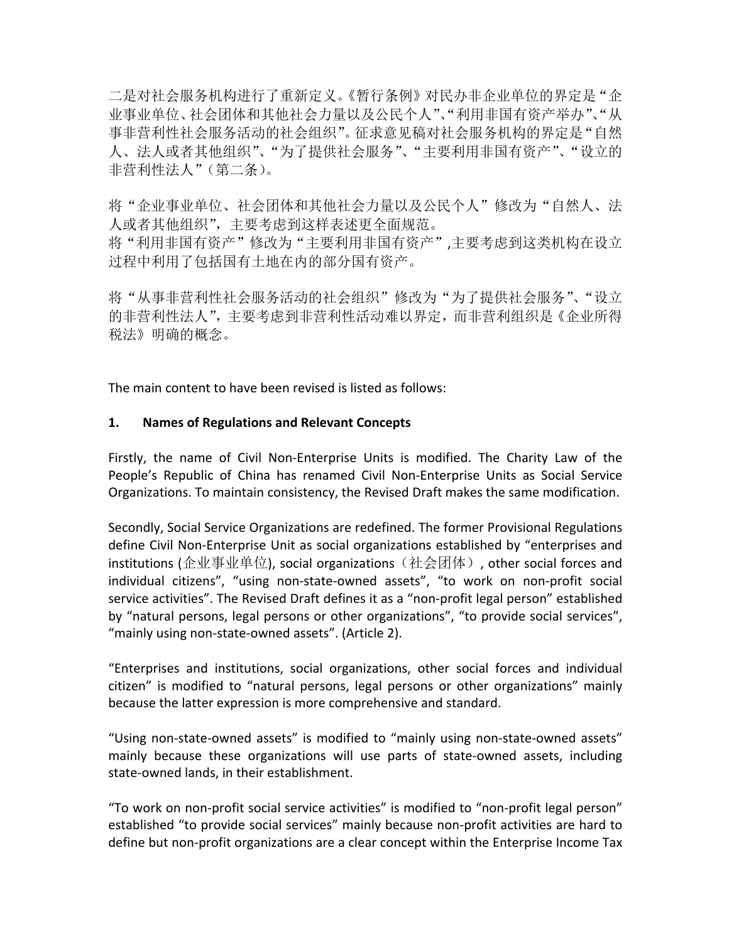二是对社会服务机构进行了重新定义。《暂行条例》对民办非企业单位的界定是"企 业事业单位、社会团体和其他社会力量以及公民个人"、"利用非国有资产举办"、"从 事非营利性社会服务活动的社会组织"。征求意见稿对社会服务机构的界定是"自然 人、法人或者其他组织"、"为了提供社会服务"、"主要利用非国有资产"、"设立的 非营利性法人"(第二条)。

将"企业事业单位、社会团体和其他社会力量以及公民个人"修改为"自然人、法 人或者其他组织",主要考虑到这样表述更全面规范。 将"利用非国有资产"修改为"主要利用非国有资产",主要考虑到这类机构在设立

过程中利用了包括国有土地在内的部分国有资产。

将"从事非营利性社会服务活动的社会组织"修改为"为了提供社会服务"、"设立 的非营利性法人",主要考虑到非营利性活动难以界定,而非营利组织是《企业所得 税法》明确的概念。

The main content to have been revised is listed as follows:

## 1. Names of Regulations and Relevant Concepts

Firstly, the name of Civil Non-Enterprise Units is modified. The Charity Law of the People's Republic of China has renamed Civil Non-Enterprise Units as Social Service Organizations. To maintain consistency, the Revised Draft makes the same modification.

Secondly, Social Service Organizations are redefined. The former Provisional Regulations define Civil Non-Enterprise Unit as social organizations established by "enterprises and institutions (企业事业单位), social organizations (社会团体), other social forces and individual citizens", "using non-state-owned assets", "to work on non-profit social service activities". The Revised Draft defines it as a "non-profit legal person" established by "natural persons, legal persons or other organizations", "to provide social services", "mainly using non-state-owned assets". (Article 2).

"Enterprises and institutions, social organizations, other social forces and individual citizen" is modified to "natural persons, legal persons or other organizations" mainly because the latter expression is more comprehensive and standard.

"Using non-state-owned assets" is modified to "mainly using non-state-owned assets" mainly because these organizations will use parts of state-owned assets, including state-owned lands, in their establishment.

"To work on non-profit social service activities" is modified to "non-profit legal person" established "to provide social services" mainly because non-profit activities are hard to define but non-profit organizations are a clear concept within the Enterprise Income Tax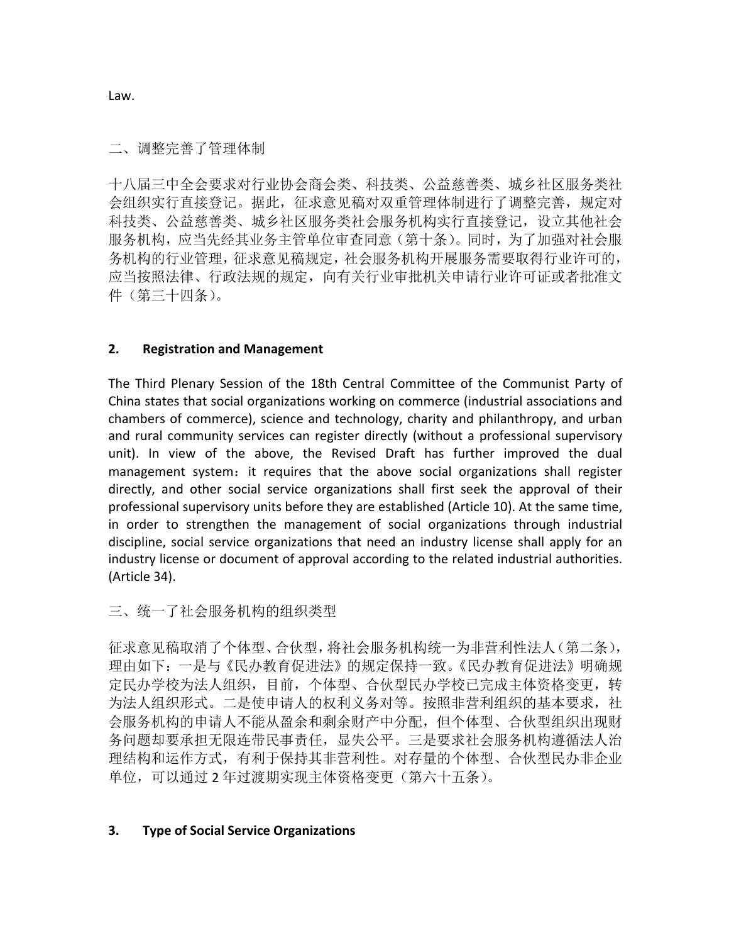二、调整完善了管理体制

十八届三中全会要求对行业协会商会类、科技类、公益慈善类、城乡社区服务类社 会组织实行直接登记。据此,征求意见稿对双重管理体制进行了调整完善,规定对 科技类、公益慈善类、城乡社区服务类社会服务机构实行直接登记,设立其他社会 服务机构,应当先经其业务主管单位审查同意(第十条)。同时,为了加强对社会服 务机构的行业管理,征求意见稿规定,社会服务机构开展服务需要取得行业许可的, 应当按照法律、行政法规的规定,向有关行业审批机关申请行业许可证或者批准文 件(第三十四条)。

## **2. Registration and Management**

The Third Plenary Session of the 18th Central Committee of the Communist Party of China states that social organizations working on commerce (industrial associations and chambers of commerce), science and technology, charity and philanthropy, and urban and rural community services can register directly (without a professional supervisory unit). In view of the above, the Revised Draft has further improved the dual management system: it requires that the above social organizations shall register directly, and other social service organizations shall first seek the approval of their professional supervisory units before they are established (Article 10). At the same time, in order to strengthen the management of social organizations through industrial discipline, social service organizations that need an industry license shall apply for an industry license or document of approval according to the related industrial authorities. (Article 34).

三、统一了社会服务机构的组织类型

征求意见稿取消了个体型、合伙型,将社会服务机构统一为非营利性法人(第二条), 理由如下:一是与《民办教育促进法》的规定保持一致。《民办教育促进法》明确规 定民办学校为法人组织,目前,个体型、合伙型民办学校已完成主体资格变更,转 为法人组织形式。二是使申请人的权利义务对等。按照非营利组织的基本要求,社 会服务机构的申请人不能从盈余和剩余财产中分配,但个体型、合伙型组织出现财 务问题却要承担无限连带民事责任,显失公平。三是要求社会服务机构遵循法人治 理结构和运作方式,有利于保持其非营利性。对存量的个体型、合伙型民办非企业 单位,可以通过 2 年过渡期实现主体资格变更(第六十五条)。

#### **3. Type of Social Service Organizations**

Law.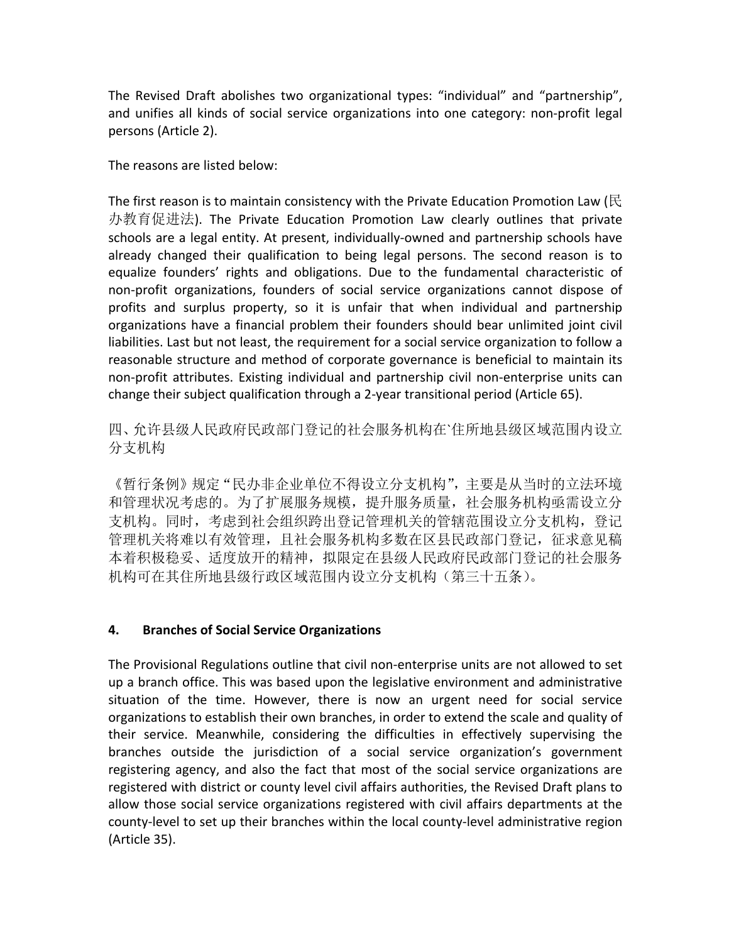The Revised Draft abolishes two organizational types: "individual" and "partnership", and unifies all kinds of social service organizations into one category: non-profit legal persons (Article 2).

The reasons are listed below:

The first reason is to maintain consistency with the Private Education Promotion Law ( $R$ ) 办教育促进法). The Private Education Promotion Law clearly outlines that private schools are a legal entity. At present, individually-owned and partnership schools have already changed their qualification to being legal persons. The second reason is to equalize founders' rights and obligations. Due to the fundamental characteristic of non-profit organizations, founders of social service organizations cannot dispose of profits and surplus property, so it is unfair that when individual and partnership organizations have a financial problem their founders should bear unlimited joint civil liabilities. Last but not least, the requirement for a social service organization to follow a reasonable structure and method of corporate governance is beneficial to maintain its non-profit attributes. Existing individual and partnership civil non-enterprise units can change their subject qualification through a 2-year transitional period (Article 65).

四、允许县级人民政府民政部门登记的社会服务机构在`住所地县级区域范围内设立 分支机构

《暂行条例》规定"民办非企业单位不得设立分支机构",主要是从当时的立法环境 和管理状况考虑的。为了扩展服务规模,提升服务质量,社会服务机构亟需设立分 支机构。同时,考虑到社会组织跨出登记管理机关的管辖范围设立分支机构,登记 管理机关将难以有效管理,且社会服务机构多数在区县民政部门登记,征求意见稿 本着积极稳妥、适度放开的精神,拟限定在县级人民政府民政部门登记的社会服务 机构可在其住所地县级行政区域范围内设立分支机构(第三十五条)。

#### **4. Branches of Social Service Organizations**

The Provisional Regulations outline that civil non-enterprise units are not allowed to set up a branch office. This was based upon the legislative environment and administrative situation of the time. However, there is now an urgent need for social service organizations to establish their own branches, in order to extend the scale and quality of their service. Meanwhile, considering the difficulties in effectively supervising the branches outside the jurisdiction of a social service organization's government registering agency, and also the fact that most of the social service organizations are registered with district or county level civil affairs authorities, the Revised Draft plans to allow those social service organizations registered with civil affairs departments at the county-level to set up their branches within the local county-level administrative region (Article 35).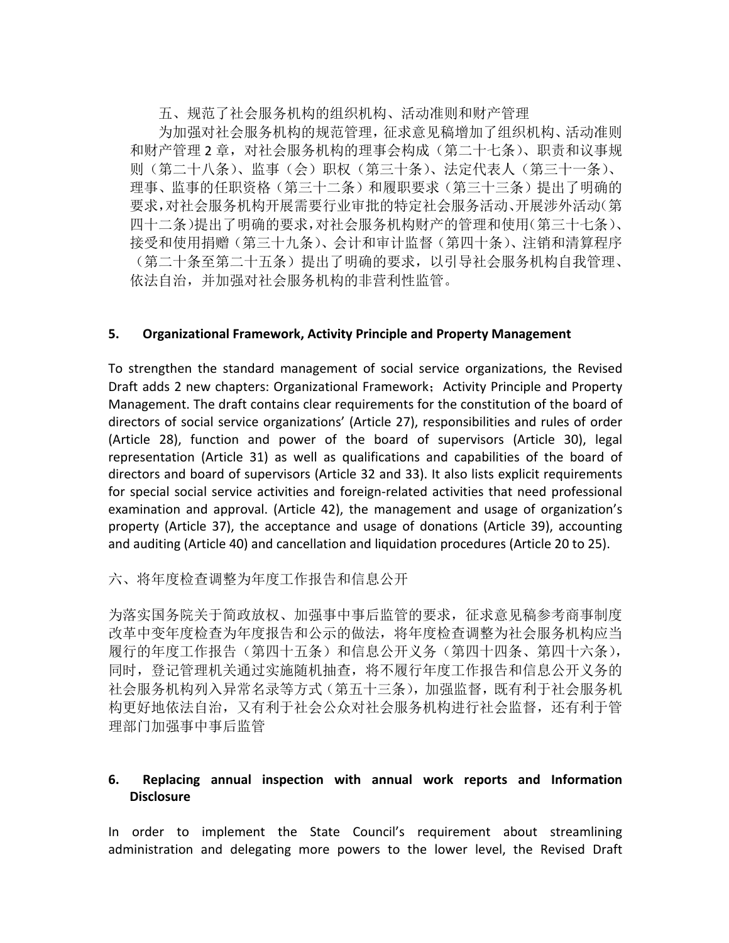五、规范了社会服务机构的组织机构、活动准则和财产管理

为加强对社会服务机构的规范管理,征求意见稿增加了组织机构、活动准则 和财产管理 2 章,对社会服务机构的理事会构成(第二十七条)、职责和议事规 则(第二十八条)、监事(会)职权(第三十条)、法定代表人(第三十一条)、 理事、监事的任职资格(第三十二条)和履职要求(第三十三条)提出了明确的 要求,对社会服务机构开展需要行业审批的特定社会服务活动、开展涉外活动(第 四十二条)提出了明确的要求,对社会服务机构财产的管理和使用(第三十七条)、 接受和使用捐赠(第三十九条)、会计和审计监督(第四十条)、注销和清算程序 (第二十条至第二十五条)提出了明确的要求,以引导社会服务机构自我管理、 依法自治,并加强对社会服务机构的非营利性监管。

#### **5.** Organizational Framework, Activity Principle and Property Management

To strengthen the standard management of social service organizations, the Revised Draft adds 2 new chapters: Organizational Framework; Activity Principle and Property Management. The draft contains clear requirements for the constitution of the board of directors of social service organizations' (Article 27), responsibilities and rules of order (Article 28), function and power of the board of supervisors (Article 30), legal representation (Article 31) as well as qualifications and capabilities of the board of directors and board of supervisors (Article 32 and 33). It also lists explicit requirements for special social service activities and foreign-related activities that need professional examination and approval. (Article 42), the management and usage of organization's property (Article 37), the acceptance and usage of donations (Article 39), accounting and auditing (Article 40) and cancellation and liquidation procedures (Article 20 to 25).

六、将年度检查调整为年度工作报告和信息公开

为落实国务院关于简政放权、加强事中事后监管的要求,征求意见稿参考商事制度 改革中变年度检查为年度报告和公示的做法,将年度检查调整为社会服务机构应当 履行的年度工作报告(第四十五条)和信息公开义务(第四十四条、第四十六条), 同时,登记管理机关通过实施随机抽查,将不履行年度工作报告和信息公开义务的 社会服务机构列入异常名录等方式(第五十三条),加强监督,既有利于社会服务机 构更好地依法自治,又有利于社会公众对社会服务机构进行社会监督,还有利于管 理部门加强事中事后监管

## **6. Replacing annual inspection with annual work reports and Information Disclosure**

In order to implement the State Council's requirement about streamlining administration and delegating more powers to the lower level, the Revised Draft